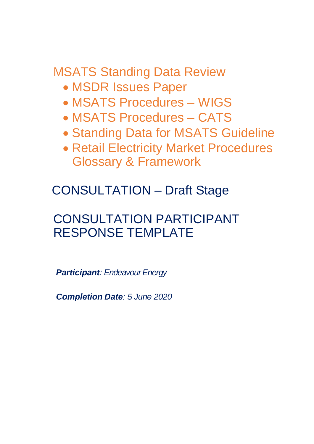MSATS Standing Data Review

- · MSDR Issues Paper
- · MSATS Procedures WIGS
- · MSATS Procedures CATS
- · Standing Data for MSATS Guideline
- · Retail Electricity Market Procedures Glossary & Framework

CONSULTATION – Draft Stage

# CONSULTATION PARTICIPANT RESPONSE TEMPLATE

*Participant: Endeavour Energy*

*Completion Date: 5 June 2020*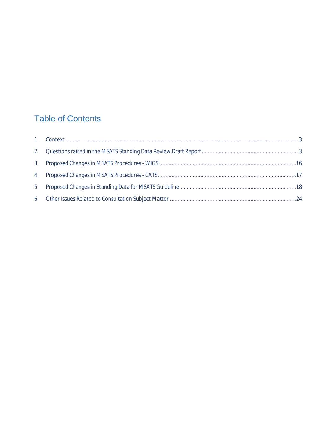### Table of Contents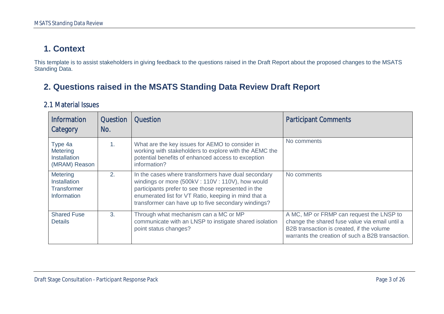### **1. Context**

This template is to assist stakeholders in giving feedback to the questions raised in the Draft Report about the proposed changes to the MSATS Standing Data.

### **2. Questions raised in the MSATS Standing Data Review Draft Report**

#### 2.1 Material Issues

<span id="page-2-1"></span><span id="page-2-0"></span>

| <b>Information</b><br>Category                                       | Question<br>No. | <b>Question</b>                                                                                                                                                                                                                                                              | <b>Participant Comments</b>                                                                                                                                                                 |
|----------------------------------------------------------------------|-----------------|------------------------------------------------------------------------------------------------------------------------------------------------------------------------------------------------------------------------------------------------------------------------------|---------------------------------------------------------------------------------------------------------------------------------------------------------------------------------------------|
| Type 4a<br><b>Metering</b><br><b>Installation</b><br>(MRAM) Reason   | 1 <sub>1</sub>  | What are the key issues for AEMO to consider in<br>working with stakeholders to explore with the AEMC the<br>potential benefits of enhanced access to exception<br>information?                                                                                              | No comments                                                                                                                                                                                 |
| Metering<br><b>Installation</b><br><b>Transformer</b><br>Information | 2.              | In the cases where transformers have dual secondary<br>windings or more (500kV: 110V: 110V), how would<br>participants prefer to see those represented in the<br>enumerated list for VT Ratio, keeping in mind that a<br>transformer can have up to five secondary windings? | No comments                                                                                                                                                                                 |
| <b>Shared Fuse</b><br><b>Details</b>                                 | 3.              | Through what mechanism can a MC or MP<br>communicate with an LNSP to instigate shared isolation<br>point status changes?                                                                                                                                                     | A MC, MP or FRMP can request the LNSP to<br>change the shared fuse value via email until a<br>B2B transaction is created, if the volume<br>warrants the creation of such a B2B transaction. |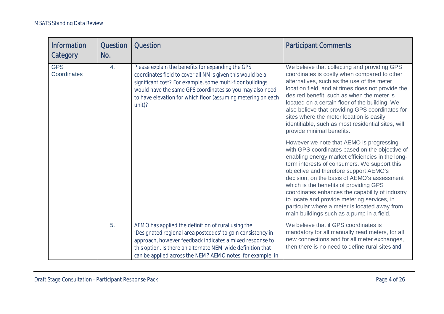| <b>Information</b><br>Category | <b>Question</b><br>No. | <b>Question</b>                                                                                                                                                                                                                                                                                                      | <b>Participant Comments</b>                                                                                                                                                                                                                                                                                                                                                                                                                                                                                                                                                                                                                                                                                                                                                                                                                                                                                                                                                                                            |
|--------------------------------|------------------------|----------------------------------------------------------------------------------------------------------------------------------------------------------------------------------------------------------------------------------------------------------------------------------------------------------------------|------------------------------------------------------------------------------------------------------------------------------------------------------------------------------------------------------------------------------------------------------------------------------------------------------------------------------------------------------------------------------------------------------------------------------------------------------------------------------------------------------------------------------------------------------------------------------------------------------------------------------------------------------------------------------------------------------------------------------------------------------------------------------------------------------------------------------------------------------------------------------------------------------------------------------------------------------------------------------------------------------------------------|
| <b>GPS</b><br>Coordinates      | 4.                     | Please explain the benefits for expanding the GPS<br>coordinates field to cover all NMIs given this would be a<br>significant cost? For example, some multi-floor buildings<br>would have the same GPS coordinates so you may also need<br>to have elevation for which floor (assuming metering on each<br>$unit)$ ? | We believe that collecting and providing GPS<br>coordinates is costly when compared to other<br>alternatives, such as the use of the meter<br>location field, and at times does not provide the<br>desired benefit, such as when the meter is<br>located on a certain floor of the building. We<br>also believe that providing GPS coordinates for<br>sites where the meter location is easily<br>identifiable, such as most residential sites, will<br>provide minimal benefits.<br>However we note that AEMO is progressing<br>with GPS coordinates based on the objective of<br>enabling energy market efficiencies in the long-<br>term interests of consumers. We support this<br>objective and therefore support AEMO's<br>decision, on the basis of AEMO's assessment<br>which is the benefits of providing GPS<br>coordinates enhances the capability of industry<br>to locate and provide metering services, in<br>particular where a meter is located away from<br>main buildings such as a pump in a field. |
|                                | $\overline{5}$ .       | AEMO has applied the definition of rural using the<br>'Designated regional area postcodes' to gain consistency in<br>approach, however feedback indicates a mixed response to<br>this option. Is there an alternate NEM wide definition that<br>can be applied across the NEM? AEMO notes, for example, in           | We believe that if GPS coordinates is<br>mandatory for all manually read meters, for all<br>new connections and for all meter exchanges,<br>then there is no need to define rural sites and                                                                                                                                                                                                                                                                                                                                                                                                                                                                                                                                                                                                                                                                                                                                                                                                                            |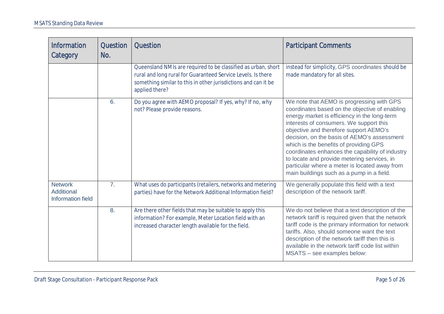| <b>Information</b><br>Category                           | Question<br>No. | <b>Question</b>                                                                                                                                                                                                   | <b>Participant Comments</b>                                                                                                                                                                                                                                                                                                                                                                                                                                                                                               |
|----------------------------------------------------------|-----------------|-------------------------------------------------------------------------------------------------------------------------------------------------------------------------------------------------------------------|---------------------------------------------------------------------------------------------------------------------------------------------------------------------------------------------------------------------------------------------------------------------------------------------------------------------------------------------------------------------------------------------------------------------------------------------------------------------------------------------------------------------------|
|                                                          |                 | Queensland NMIs are required to be classified as urban, short<br>rural and long rural for Guaranteed Service Levels. Is there<br>something similar to this in other jurisdictions and can it be<br>applied there? | instead for simplicity, GPS coordinates should be<br>made mandatory for all sites.                                                                                                                                                                                                                                                                                                                                                                                                                                        |
|                                                          | 6.              | Do you agree with AEMO proposal? If yes, why? If no, why<br>not? Please provide reasons.                                                                                                                          | We note that AEMO is progressing with GPS<br>coordinates based on the objective of enabling<br>energy market is efficiency in the long-term<br>interests of consumers. We support this<br>objective and therefore support AEMO's<br>decision, on the basis of AEMO's assessment<br>which is the benefits of providing GPS<br>coordinates enhances the capability of industry<br>to locate and provide metering services, in<br>particular where a meter is located away from<br>main buildings such as a pump in a field. |
| <b>Network</b><br>Additional<br><b>Information field</b> | 7.              | What uses do participants (retailers, networks and metering<br>parties) have for the Network Additional Information field?                                                                                        | We generally populate this field with a text<br>description of the network tariff.                                                                                                                                                                                                                                                                                                                                                                                                                                        |
|                                                          | 8.              | Are there other fields that may be suitable to apply this<br>information? For example, Meter Location field with an<br>increased character length available for the field.                                        | We do not believe that a text description of the<br>network tariff is required given that the network<br>tariff code is the primary information for network<br>tariffs. Also, should someone want the text<br>description of the network tariff then this is<br>available in the network tariff code list within<br>MSATS - see examples below:                                                                                                                                                                           |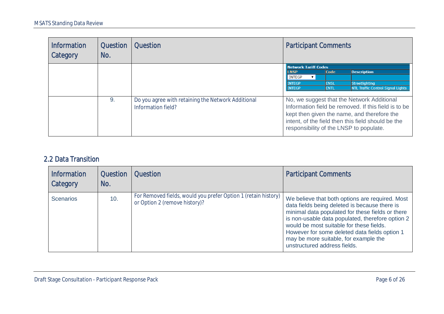| <b>Information</b><br>Category | <b>Question</b><br>No. | Question                                                                 | <b>Participant Comments</b>                                                                                   |                                               |                                                                                                                                                                                                         |
|--------------------------------|------------------------|--------------------------------------------------------------------------|---------------------------------------------------------------------------------------------------------------|-----------------------------------------------|---------------------------------------------------------------------------------------------------------------------------------------------------------------------------------------------------------|
|                                |                        |                                                                          | <b>Network Tariff Codes</b><br><b>LNSP</b><br><b>INTEGP</b><br>$\mathbf{v}$<br><b>INTEGP</b><br><b>INTEGP</b> | $\mathsf{Code}$<br><b>ENSL</b><br><b>ENTL</b> | <b>Description</b><br>Streetlighting<br><b>NTL Traffic Control Signal Lights</b>                                                                                                                        |
|                                | 9.                     | Do you agree with retaining the Network Additional<br>Information field? | responsibility of the LNSP to populate.                                                                       |                                               | No, we suggest that the Network Additional<br>Information field be removed. If this field is to be<br>kept then given the name, and therefore the<br>intent, of the field then this field should be the |

### 2.2 Data Transition

| Information<br>Category | <b>Question</b><br>No. | <b>Question</b>                                                                                 | <b>Participant Comments</b>                                                                                                                                                                                                                                                                                                                                                    |
|-------------------------|------------------------|-------------------------------------------------------------------------------------------------|--------------------------------------------------------------------------------------------------------------------------------------------------------------------------------------------------------------------------------------------------------------------------------------------------------------------------------------------------------------------------------|
| <b>Scenarios</b>        | 10.                    | For Removed fields, would you prefer Option 1 (retain history)<br>or Option 2 (remove history)? | We believe that both options are required. Most<br>data fields being deleted is because there is<br>minimal data populated for these fields or there<br>is non-usable data populated, therefore option 2<br>would be most suitable for these fields.<br>However for some deleted data fields option 1<br>may be more suitable, for example the<br>unstructured address fields. |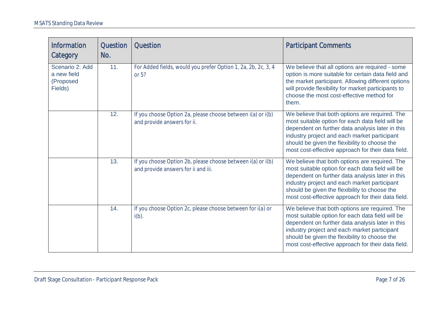| <b>Information</b><br>Category                         | <b>Question</b><br>No. | Question                                                                                           | <b>Participant Comments</b>                                                                                                                                                                                                                                                                                   |
|--------------------------------------------------------|------------------------|----------------------------------------------------------------------------------------------------|---------------------------------------------------------------------------------------------------------------------------------------------------------------------------------------------------------------------------------------------------------------------------------------------------------------|
| Scenario 2: Add<br>a new field<br>(Proposed<br>Fields) | 11.                    | For Added fields, would you prefer Option 1, 2a, 2b, 2c, 3, 4<br>or 5?                             | We believe that all options are required - some<br>option is more suitable for certain data field and<br>the market participant. Allowing different options<br>will provide flexibility for market participants to<br>choose the most cost-effective method for<br>them.                                      |
|                                                        | 12.                    | If you choose Option 2a, please choose between i(a) or i(b)<br>and provide answers for ii.         | We believe that both options are required. The<br>most suitable option for each data field will be<br>dependent on further data analysis later in this<br>industry project and each market participant<br>should be given the flexibility to choose the<br>most cost-effective approach for their data field. |
|                                                        | 13.                    | If you choose Option 2b, please choose between i(a) or i(b)<br>and provide answers for ii and iii. | We believe that both options are required. The<br>most suitable option for each data field will be<br>dependent on further data analysis later in this<br>industry project and each market participant<br>should be given the flexibility to choose the<br>most cost-effective approach for their data field. |
|                                                        | 14.                    | If you choose Option 2c, please choose between for i(a) or<br>$i(b)$ .                             | We believe that both options are required. The<br>most suitable option for each data field will be<br>dependent on further data analysis later in this<br>industry project and each market participant<br>should be given the flexibility to choose the<br>most cost-effective approach for their data field. |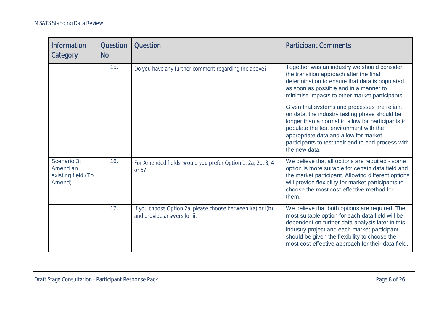| <b>Information</b><br>Category                          | <b>Question</b><br>No. | <b>Question</b>                                                                            | <b>Participant Comments</b>                                                                                                                                                                                                                                                                                   |
|---------------------------------------------------------|------------------------|--------------------------------------------------------------------------------------------|---------------------------------------------------------------------------------------------------------------------------------------------------------------------------------------------------------------------------------------------------------------------------------------------------------------|
|                                                         | 15.                    | Do you have any further comment regarding the above?                                       | Together was an industry we should consider<br>the transition approach after the final<br>determination to ensure that data is populated<br>as soon as possible and in a manner to<br>minimise impacts to other market participants.                                                                          |
|                                                         |                        |                                                                                            | Given that systems and processes are reliant<br>on data, the industry testing phase should be<br>longer than a normal to allow for participants to<br>populate the test environment with the<br>appropriate data and allow for market<br>participants to test their end to end process with<br>the new data.  |
| Scenario 3:<br>Amend an<br>existing field (To<br>Amend) | 16.                    | For Amended fields, would you prefer Option 1, 2a, 2b, 3, 4<br>or 5?                       | We believe that all options are required - some<br>option is more suitable for certain data field and<br>the market participant. Allowing different options<br>will provide flexibility for market participants to<br>choose the most cost-effective method for<br>them.                                      |
|                                                         | 17.                    | If you choose Option 2a, please choose between i(a) or i(b)<br>and provide answers for ii. | We believe that both options are required. The<br>most suitable option for each data field will be<br>dependent on further data analysis later in this<br>industry project and each market participant<br>should be given the flexibility to choose the<br>most cost-effective approach for their data field. |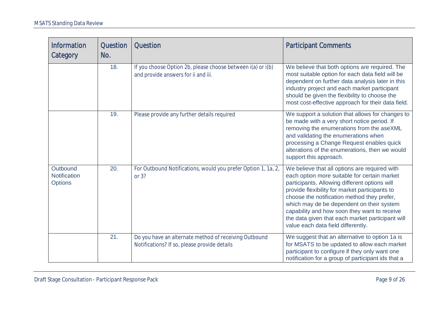| <b>Information</b><br>Category             | <b>Question</b><br>No. | <b>Question</b>                                                                                       | <b>Participant Comments</b>                                                                                                                                                                                                                                                                                                                                                                                                            |
|--------------------------------------------|------------------------|-------------------------------------------------------------------------------------------------------|----------------------------------------------------------------------------------------------------------------------------------------------------------------------------------------------------------------------------------------------------------------------------------------------------------------------------------------------------------------------------------------------------------------------------------------|
|                                            | 18.                    | If you choose Option 2b, please choose between i(a) or i(b)<br>and provide answers for ii and iii.    | We believe that both options are required. The<br>most suitable option for each data field will be<br>dependent on further data analysis later in this<br>industry project and each market participant<br>should be given the flexibility to choose the<br>most cost-effective approach for their data field.                                                                                                                          |
|                                            | 19.                    | Please provide any further details required                                                           | We support a solution that allows for changes to<br>be made with a very short notice period. If<br>removing the enumerations from the aseXML<br>and validating the enumerations when<br>processing a Change Request enables quick<br>alterations of the enumerations, then we would<br>support this approach.                                                                                                                          |
| Outbound<br>Notification<br><b>Options</b> | 20.                    | For Outbound Notifications, would you prefer Option 1, 1a, 2,<br>or 3?                                | We believe that all options are required with<br>each option more suitable for certain market<br>participants. Allowing different options will<br>provide flexibility for market participants to<br>choose the notification method they prefer,<br>which may de be dependent on their system<br>capability and how soon they want to receive<br>the data given that each market participant will<br>value each data field differently. |
|                                            | 21.                    | Do you have an alternate method of receiving Outbound<br>Notifications? If so, please provide details | We suggest that an alternative to option 1a is<br>for MSATS to be updated to allow each market<br>participant to configure if they only want one<br>notification for a group of participant ids that a                                                                                                                                                                                                                                 |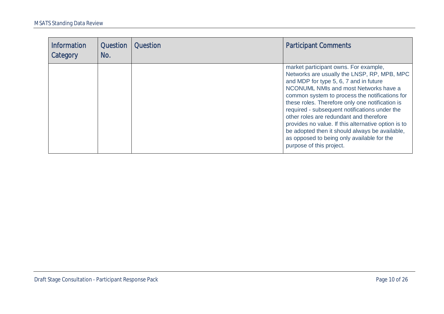| <b>Information</b><br>Category | <b>Question</b><br>No. | Question | <b>Participant Comments</b>                                                                                                                                                                                                                                                                                                                                                                                                                                                                                                                                 |
|--------------------------------|------------------------|----------|-------------------------------------------------------------------------------------------------------------------------------------------------------------------------------------------------------------------------------------------------------------------------------------------------------------------------------------------------------------------------------------------------------------------------------------------------------------------------------------------------------------------------------------------------------------|
|                                |                        |          | market participant owns. For example,<br>Networks are usually the LNSP, RP, MPB, MPC<br>and MDP for type 5, 6, 7 and in future<br>NCONUML NMIs and most Networks have a<br>common system to process the notifications for<br>these roles. Therefore only one notification is<br>required - subsequent notifications under the<br>other roles are redundant and therefore<br>provides no value. If this alternative option is to<br>be adopted then it should always be available,<br>as opposed to being only available for the<br>purpose of this project. |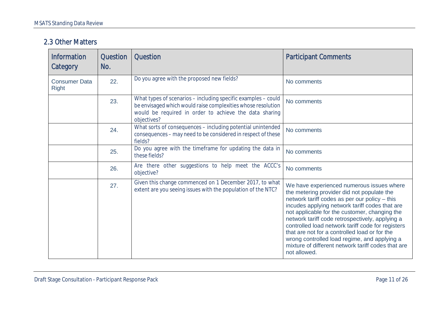#### 2.3 Other Matters

| <b>Information</b><br>Category       | <b>Question</b><br>No. | <b>Question</b>                                                                                                                                                                                        | <b>Participant Comments</b>                                                                                                                                                                                                                                                                                                                                                                                                                                                                                                |
|--------------------------------------|------------------------|--------------------------------------------------------------------------------------------------------------------------------------------------------------------------------------------------------|----------------------------------------------------------------------------------------------------------------------------------------------------------------------------------------------------------------------------------------------------------------------------------------------------------------------------------------------------------------------------------------------------------------------------------------------------------------------------------------------------------------------------|
| <b>Consumer Data</b><br><b>Right</b> | 22.                    | Do you agree with the proposed new fields?                                                                                                                                                             | No comments                                                                                                                                                                                                                                                                                                                                                                                                                                                                                                                |
|                                      | 23.                    | What types of scenarios - including specific examples - could<br>be envisaged which would raise complexities whose resolution<br>would be required in order to achieve the data sharing<br>objectives? | No comments                                                                                                                                                                                                                                                                                                                                                                                                                                                                                                                |
|                                      | 24.                    | What sorts of consequences - including potential unintended<br>consequences - may need to be considered in respect of these<br>fields?                                                                 | No comments                                                                                                                                                                                                                                                                                                                                                                                                                                                                                                                |
|                                      | 25.                    | Do you agree with the timeframe for updating the data in<br>these fields?                                                                                                                              | No comments                                                                                                                                                                                                                                                                                                                                                                                                                                                                                                                |
|                                      | 26.                    | Are there other suggestions to help meet the ACCC's<br>objective?                                                                                                                                      | No comments                                                                                                                                                                                                                                                                                                                                                                                                                                                                                                                |
|                                      | 27.                    | Given this change commenced on 1 December 2017, to what<br>extent are you seeing issues with the population of the NTC?                                                                                | We have experienced numerous issues where<br>the metering provider did not populate the<br>network tariff codes as per our policy - this<br>incudes applying network tariff codes that are<br>not applicable for the customer, changing the<br>network tariff code retrospectively, applying a<br>controlled load network tariff code for registers<br>that are not for a controlled load or for the<br>wrong controlled load regime, and applying a<br>mixture of different network tariff codes that are<br>not allowed. |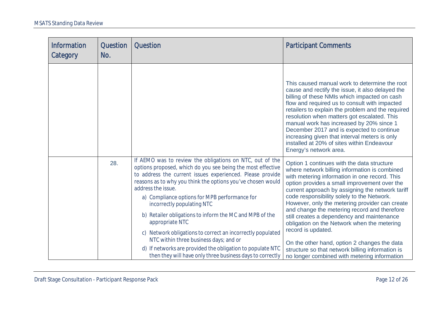| <b>Information</b><br>Category | <b>Question</b><br>No. | <b>Question</b>                                                                                                                                                                                                                                                                                                                                                                                                                                                                                      | <b>Participant Comments</b>                                                                                                                                                                                                                                                                                                                                                                                                                                                                                              |
|--------------------------------|------------------------|------------------------------------------------------------------------------------------------------------------------------------------------------------------------------------------------------------------------------------------------------------------------------------------------------------------------------------------------------------------------------------------------------------------------------------------------------------------------------------------------------|--------------------------------------------------------------------------------------------------------------------------------------------------------------------------------------------------------------------------------------------------------------------------------------------------------------------------------------------------------------------------------------------------------------------------------------------------------------------------------------------------------------------------|
|                                |                        |                                                                                                                                                                                                                                                                                                                                                                                                                                                                                                      | This caused manual work to determine the root<br>cause and rectify the issue, it also delayed the<br>billing of these NMIs which impacted on cash<br>flow and required us to consult with impacted<br>retailers to explain the problem and the required<br>resolution when matters got escalated. This<br>manual work has increased by 20% since 1<br>December 2017 and is expected to continue<br>increasing given that interval meters is only<br>installed at 20% of sites within Endeavour<br>Energy's network area. |
|                                | 28.                    | If AEMO was to review the obligations on NTC, out of the<br>options proposed, which do you see being the most effective<br>to address the current issues experienced. Please provide<br>reasons as to why you think the options you've chosen would<br>address the issue.<br>a) Compliance options for MPB performance for<br>incorrectly populating NTC<br>b) Retailer obligations to inform the MC and MPB of the<br>appropriate NTC<br>c) Network obligations to correct an incorrectly populated | Option 1 continues with the data structure<br>where network billing information is combined<br>with metering information in one record. This<br>option provides a small improvement over the<br>current approach by assigning the network tariff<br>code responsibility solely to the Network.<br>However, only the metering provider can create<br>and change the metering record and therefore<br>still creates a dependency and maintenance<br>obligation on the Network when the metering<br>record is updated.      |
|                                |                        | NTC within three business days; and or<br>d) If networks are provided the obligation to populate NTC<br>then they will have only three business days to correctly                                                                                                                                                                                                                                                                                                                                    | On the other hand, option 2 changes the data<br>structure so that network billing information is<br>no longer combined with metering information                                                                                                                                                                                                                                                                                                                                                                         |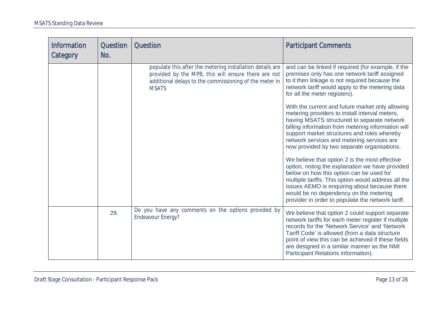| <b>Information</b><br>Category | <b>Question</b><br>No. | <b>Question</b>                                                                                                                                                                            | <b>Participant Comments</b>                                                                                                                                                                                                                                                                                                                            |
|--------------------------------|------------------------|--------------------------------------------------------------------------------------------------------------------------------------------------------------------------------------------|--------------------------------------------------------------------------------------------------------------------------------------------------------------------------------------------------------------------------------------------------------------------------------------------------------------------------------------------------------|
|                                |                        | populate this after the metering installation details are<br>provided by the MPB, this will ensure there are not<br>additional delays to the commissioning of the meter in<br><b>MSATS</b> | and can be linked if required (for example, if the<br>premises only has one network tariff assigned<br>to it then linkage is not required because the<br>network tariff would apply to the metering data<br>for all the meter registers).                                                                                                              |
|                                |                        |                                                                                                                                                                                            | With the current and future market only allowing<br>metering providers to install interval meters,<br>having MSATS structured to separate network<br>billing information from metering information will<br>support market structures and roles whereby<br>network services and metering services are<br>now provided by two separate organisations.    |
|                                |                        |                                                                                                                                                                                            | We believe that option 2 is the most effective<br>option, noting the explanation we have provided<br>below on how this option can be used for<br>multiple tariffs. This option would address all the<br>issues AEMO is enquiring about because there<br>would be no dependency on the metering<br>provider in order to populate the network tariff.    |
|                                | 29.                    | Do you have any comments on the options provided by<br><b>Endeavour Energy?</b>                                                                                                            | We believe that option 2 could support separate<br>network tariffs for each meter register if multiple<br>records for the 'Network Service' and 'Network<br>Tariff Code' is allowed (from a data structure<br>point of view this can be achieved if these fields<br>are designed in a similar manner as the NMI<br>Participant Relations information). |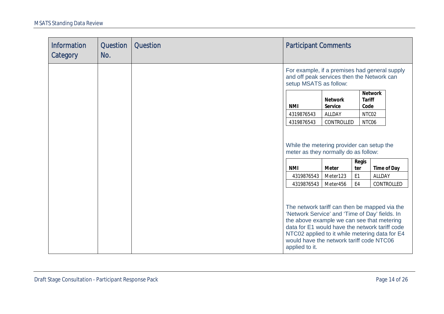| <b>Information</b><br>Category | Question<br>No. | <b>Question</b> | <b>Participant Comments</b>                                                                                                                                                                                                |                                                   |                                |                                                                                                               |
|--------------------------------|-----------------|-----------------|----------------------------------------------------------------------------------------------------------------------------------------------------------------------------------------------------------------------------|---------------------------------------------------|--------------------------------|---------------------------------------------------------------------------------------------------------------|
|                                |                 |                 | and off peak services then the Network can<br>setup MSATS as follow:                                                                                                                                                       |                                                   |                                | For example, if a premises had general supply                                                                 |
|                                |                 |                 | NMI<br>4319876543<br>4319876543                                                                                                                                                                                            | Network<br>Service<br><b>ALLDAY</b><br>CONTROLLED | Tariff<br>Code                 | <b>Network</b><br>NTC02<br>NTC06                                                                              |
|                                |                 |                 | While the metering provider can setup the<br>meter as they normally do as follow:                                                                                                                                          |                                                   |                                |                                                                                                               |
|                                |                 |                 | <b>NMI</b><br>4319876543                                                                                                                                                                                                   | Meter<br>Meter123                                 | Regis<br>ter<br>E <sub>1</sub> | Time of Day<br>ALLDAY                                                                                         |
|                                |                 |                 | 4319876543<br>'Network Service' and 'Time of Day' fields. In<br>the above example we can see that metering<br>data for E1 would have the network tariff code<br>would have the network tariff code NTC06<br>applied to it. | Meter456                                          | E4                             | CONTROLLED<br>The network tariff can then be mapped via the<br>NTC02 applied to it while metering data for E4 |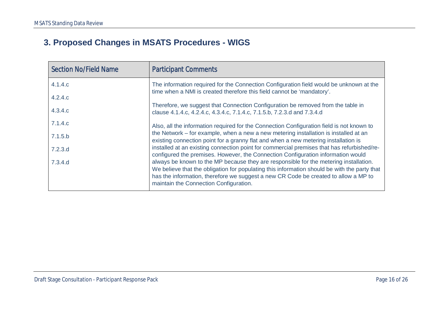# **3. Proposed Changes in MSATS Procedures - WIGS**

<span id="page-15-0"></span>

| <b>Section No/Field Name</b> | <b>Participant Comments</b>                                                                                                                                                                                                                                                                                            |
|------------------------------|------------------------------------------------------------------------------------------------------------------------------------------------------------------------------------------------------------------------------------------------------------------------------------------------------------------------|
| 4.1.4.c                      | The information required for the Connection Configuration field would be unknown at the<br>time when a NMI is created therefore this field cannot be 'mandatory'.                                                                                                                                                      |
| 4.2.4.c                      |                                                                                                                                                                                                                                                                                                                        |
| 4.3.4.c                      | Therefore, we suggest that Connection Configuration be removed from the table in<br>clause 4.1.4.c, 4.2.4.c, 4.3.4.c, 7.1.4.c, 7.1.5.b, 7.2.3.d and 7.3.4.d                                                                                                                                                            |
| 7.1.4.c                      | Also, all the information required for the Connection Configuration field is not known to                                                                                                                                                                                                                              |
| 7.1.5.b                      | the Network – for example, when a new a new metering installation is installed at an<br>existing connection point for a granny flat and when a new metering installation is                                                                                                                                            |
| 7.2.3.d                      | installed at an existing connection point for commercial premises that has refurbished/re-<br>configured the premises. However, the Connection Configuration information would                                                                                                                                         |
| 7.3.4.d                      | always be known to the MP because they are responsible for the metering installation.<br>We believe that the obligation for populating this information should be with the party that<br>has the information, therefore we suggest a new CR Code be created to allow a MP to<br>maintain the Connection Configuration. |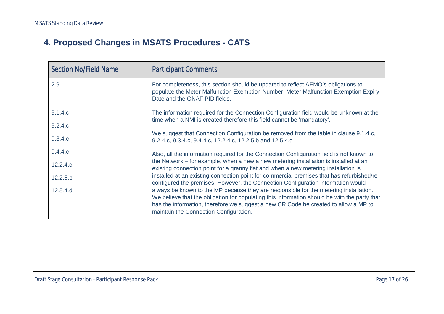# **4. Proposed Changes in MSATS Procedures - CATS**

<span id="page-16-0"></span>

| <b>Section No/Field Name</b> | <b>Participant Comments</b>                                                                                                                                                                                                                                                                                            |
|------------------------------|------------------------------------------------------------------------------------------------------------------------------------------------------------------------------------------------------------------------------------------------------------------------------------------------------------------------|
| 2.9                          | For completeness, this section should be updated to reflect AEMO's obligations to<br>populate the Meter Malfunction Exemption Number, Meter Malfunction Exemption Expiry<br>Date and the GNAF PID fields.                                                                                                              |
| 9.1.4.c<br>9.2.4.c           | The information required for the Connection Configuration field would be unknown at the<br>time when a NMI is created therefore this field cannot be 'mandatory'.                                                                                                                                                      |
| 9.3.4.c                      | We suggest that Connection Configuration be removed from the table in clause 9.1.4.c,<br>9.2.4.c, 9.3.4.c, 9.4.4.c, 12.2.4.c, 12.2.5.b and 12.5.4.d                                                                                                                                                                    |
| 9.4.4.c                      | Also, all the information required for the Connection Configuration field is not known to                                                                                                                                                                                                                              |
| 12.2.4.c                     | the Network – for example, when a new a new metering installation is installed at an<br>existing connection point for a granny flat and when a new metering installation is                                                                                                                                            |
| 12.2.5.b                     | installed at an existing connection point for commercial premises that has refurbished/re-<br>configured the premises. However, the Connection Configuration information would                                                                                                                                         |
| 12.5.4.d                     | always be known to the MP because they are responsible for the metering installation.<br>We believe that the obligation for populating this information should be with the party that<br>has the information, therefore we suggest a new CR Code be created to allow a MP to<br>maintain the Connection Configuration. |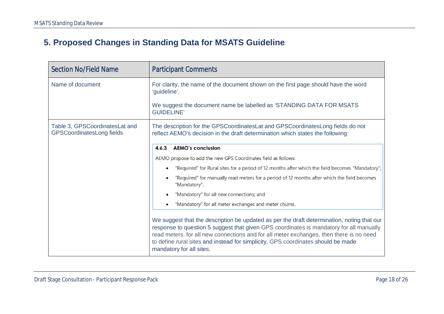# **5. Proposed Changes in Standing Data for MSATS Guideline**

<span id="page-17-0"></span>

| <b>Section No/Field Name</b>                                       | <b>Participant Comments</b>                                                                                                                                                                                                                                                                                                                                                                      |  |  |  |  |
|--------------------------------------------------------------------|--------------------------------------------------------------------------------------------------------------------------------------------------------------------------------------------------------------------------------------------------------------------------------------------------------------------------------------------------------------------------------------------------|--|--|--|--|
| Name of document                                                   | For clarity, the name of the document shown on the first page should have the word<br>'guideline'.                                                                                                                                                                                                                                                                                               |  |  |  |  |
|                                                                    | We suggest the document name be labelled as 'STANDING DATA FOR MSATS<br><b>GUIDELINE'</b>                                                                                                                                                                                                                                                                                                        |  |  |  |  |
| Table 3, GPSCoordinatesLat and<br><b>GPSCoordinatesLong fields</b> | The description for the GPSCoordinatesLat and GPSCoordinatesLong fields do not<br>reflect AEMO's decision in the draft determination which states the following:                                                                                                                                                                                                                                 |  |  |  |  |
|                                                                    | <b>AEMO's conclusion</b><br>4.6.3                                                                                                                                                                                                                                                                                                                                                                |  |  |  |  |
|                                                                    | AEMO propose to add the new GPS Coordinates field as follows:                                                                                                                                                                                                                                                                                                                                    |  |  |  |  |
|                                                                    | "Required" for Rural sites for a period of 12 months after which the field becomes "Mandatory";                                                                                                                                                                                                                                                                                                  |  |  |  |  |
|                                                                    | "Required" for manually read meters for a period of 12 months after which the field becomes<br>$\bullet$<br>"Mandatory";                                                                                                                                                                                                                                                                         |  |  |  |  |
|                                                                    | "Mandatory" for all new connections; and                                                                                                                                                                                                                                                                                                                                                         |  |  |  |  |
|                                                                    | "Mandatory" for all meter exchanges and meter churns.                                                                                                                                                                                                                                                                                                                                            |  |  |  |  |
|                                                                    | We suggest that the description be updated as per the draft determination, noting that our<br>response to question 5 suggest that given GPS coordinates is mandatory for all manually<br>read meters, for all new connections and for all meter exchanges, then there is no need<br>to define rural sites and instead for simplicity, GPS coordinates should be made<br>mandatory for all sites. |  |  |  |  |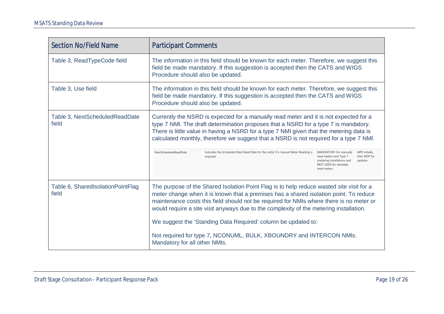| <b>Section No/Field Name</b>               |                                                                                                                                                                                                                                                                                                                                                                                                                                                                                                                                                 | <b>Participant Comments</b>                                                                                                                                                                                                                                                                                                                                                                                                                                         |                                                                                                                        |                                           |  |  |
|--------------------------------------------|-------------------------------------------------------------------------------------------------------------------------------------------------------------------------------------------------------------------------------------------------------------------------------------------------------------------------------------------------------------------------------------------------------------------------------------------------------------------------------------------------------------------------------------------------|---------------------------------------------------------------------------------------------------------------------------------------------------------------------------------------------------------------------------------------------------------------------------------------------------------------------------------------------------------------------------------------------------------------------------------------------------------------------|------------------------------------------------------------------------------------------------------------------------|-------------------------------------------|--|--|
| Table 3, ReadTypeCode field                |                                                                                                                                                                                                                                                                                                                                                                                                                                                                                                                                                 | The information in this field should be known for each meter. Therefore, we suggest this<br>field be made mandatory. If this suggestion is accepted then the CATS and WIGS<br>Procedure should also be updated.                                                                                                                                                                                                                                                     |                                                                                                                        |                                           |  |  |
| Table 3, Use field                         |                                                                                                                                                                                                                                                                                                                                                                                                                                                                                                                                                 | The information in this field should be known for each meter. Therefore, we suggest this<br>field be made mandatory. If this suggestion is accepted then the CATS and WIGS<br>Procedure should also be updated.                                                                                                                                                                                                                                                     |                                                                                                                        |                                           |  |  |
| Table 3, NextScheduledReadDate<br>field    | NextScheduledReadDate                                                                                                                                                                                                                                                                                                                                                                                                                                                                                                                           | Currently the NSRD is expected for a manually read meter and it is not expected for a<br>type 7 NMI. The draft determination proposes that a NSRD for a type 7 is mandatory.<br>There is little value in having a NSRD for a type 7 NMI given that the metering data is<br>calculated monthly, therefore we suggest that a NSRD is not required for a type 7 NMI.<br>Indicates the Scheduled Next Read Date for the meter if a manual Meter Reading is<br>required. | MANDATORY for manually<br>read meters and Type 7<br>metering installations and<br>NOT USED for remotely<br>read meters | MPB initially,<br>then MDP for<br>updates |  |  |
| Table 6, SharedIsolationPointFlag<br>field | The purpose of the Shared Isolation Point Flag is to help reduce wasted site visit for a<br>meter change when it is known that a premises has a shared isolation point. To reduce<br>maintenance costs this field should not be required for NMIs where there is no meter or<br>would require a site visit anyways due to the complexity of the metering installation.<br>We suggest the 'Standing Data Required' column be updated to:<br>Not required for type 7, NCONUML, BULK, XBOUNDRY and INTERCON NMIs.<br>Mandatory for all other NMIs. |                                                                                                                                                                                                                                                                                                                                                                                                                                                                     |                                                                                                                        |                                           |  |  |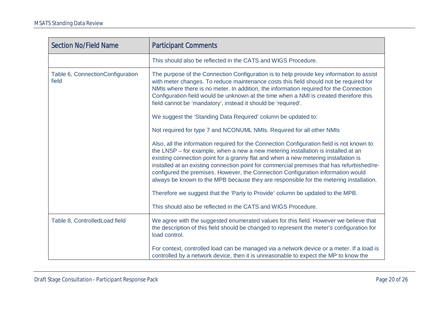| <b>Section No/Field Name</b>              | <b>Participant Comments</b>                                                                                                                                                                                                                                                                                                                                                                                                                                                                                                                       |  |  |  |
|-------------------------------------------|---------------------------------------------------------------------------------------------------------------------------------------------------------------------------------------------------------------------------------------------------------------------------------------------------------------------------------------------------------------------------------------------------------------------------------------------------------------------------------------------------------------------------------------------------|--|--|--|
|                                           | This should also be reflected in the CATS and WIGS Procedure.                                                                                                                                                                                                                                                                                                                                                                                                                                                                                     |  |  |  |
| Table 6, ConnectionConfiguration<br>field | The purpose of the Connection Configuration is to help provide key information to assist<br>with meter changes. To reduce maintenance costs this field should not be required for<br>NMIs where there is no meter. In addition, the information required for the Connection<br>Configuration field would be unknown at the time when a NMI is created therefore this<br>field cannot be 'mandatory', instead it should be 'required'.                                                                                                             |  |  |  |
|                                           | We suggest the 'Standing Data Required' column be updated to:                                                                                                                                                                                                                                                                                                                                                                                                                                                                                     |  |  |  |
|                                           | Not required for type 7 and NCONUML NMIs. Required for all other NMIs                                                                                                                                                                                                                                                                                                                                                                                                                                                                             |  |  |  |
|                                           | Also, all the information required for the Connection Configuration field is not known to<br>the LNSP – for example, when a new a new metering installation is installed at an<br>existing connection point for a granny flat and when a new metering installation is<br>installed at an existing connection point for commercial premises that has refurbished/re-<br>configured the premises. However, the Connection Configuration information would<br>always be known to the MPB because they are responsible for the metering installation. |  |  |  |
|                                           | Therefore we suggest that the 'Party to Provide' column be updated to the MPB.                                                                                                                                                                                                                                                                                                                                                                                                                                                                    |  |  |  |
|                                           | This should also be reflected in the CATS and WIGS Procedure.                                                                                                                                                                                                                                                                                                                                                                                                                                                                                     |  |  |  |
| Table 8, ControlledLoad field             | We agree with the suggested enumerated values for this field. However we believe that<br>the description of this field should be changed to represent the meter's configuration for<br>load control.                                                                                                                                                                                                                                                                                                                                              |  |  |  |
|                                           | For context, controlled load can be managed via a network device or a meter. If a load is<br>controlled by a network device, then it is unreasonable to expect the MP to know the                                                                                                                                                                                                                                                                                                                                                                 |  |  |  |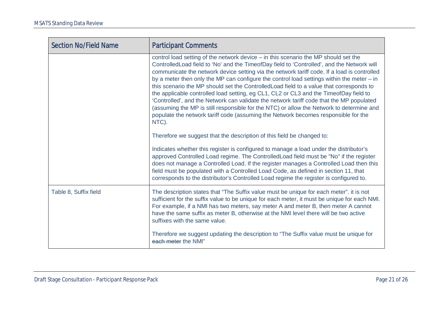| <b>Section No/Field Name</b> | <b>Participant Comments</b>                                                                                                                                                                                                                                                                                                                                                                                                                                                                                                                                                                                                                                                                                                                                                                                                                                                                                                             |
|------------------------------|-----------------------------------------------------------------------------------------------------------------------------------------------------------------------------------------------------------------------------------------------------------------------------------------------------------------------------------------------------------------------------------------------------------------------------------------------------------------------------------------------------------------------------------------------------------------------------------------------------------------------------------------------------------------------------------------------------------------------------------------------------------------------------------------------------------------------------------------------------------------------------------------------------------------------------------------|
|                              | control load setting of the network device – in this scenario the MP should set the<br>Controlled Load field to 'No' and the Timeof Day field to 'Controlled', and the Network will<br>communicate the network device setting via the network tariff code. If a load is controlled<br>by a meter then only the MP can configure the control load settings within the meter $-$ in<br>this scenario the MP should set the Controlled Load field to a value that corresponds to<br>the applicable controlled load setting, eg CL1, CL2 or CL3 and the TimeofDay field to<br>'Controlled', and the Network can validate the network tariff code that the MP populated<br>(assuming the MP is still responsible for the NTC) or allow the Network to determine and<br>populate the network tariff code (assuming the Network becomes responsible for the<br>NTC).<br>Therefore we suggest that the description of this field be changed to: |
|                              | Indicates whether this register is configured to manage a load under the distributor's<br>approved Controlled Load regime. The ControlledLoad field must be "No" if the register<br>does not manage a Controlled Load. If the register manages a Controlled Load then this<br>field must be populated with a Controlled Load Code, as defined in section 11, that<br>corresponds to the distributor's Controlled Load regime the register is configured to.                                                                                                                                                                                                                                                                                                                                                                                                                                                                             |
| Table 8, Suffix field        | The description states that "The Suffix value must be unique for each meter". it is not<br>sufficient for the suffix value to be unique for each meter, it must be unique for each NMI.<br>For example, if a NMI has two meters, say meter A and meter B, then meter A cannot<br>have the same suffix as meter B, otherwise at the NMI level there will be two active<br>suffixes with the same value.                                                                                                                                                                                                                                                                                                                                                                                                                                                                                                                                  |
|                              | Therefore we suggest updating the description to "The Suffix value must be unique for<br>each meter the NMI"                                                                                                                                                                                                                                                                                                                                                                                                                                                                                                                                                                                                                                                                                                                                                                                                                            |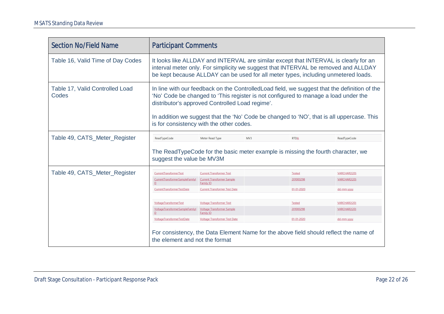| <b>Section No/Field Name</b>             | <b>Participant Comments</b>                                                                                                                                                                                                                                                                                                                                                      |                                                       |  |               |              |  |  |
|------------------------------------------|----------------------------------------------------------------------------------------------------------------------------------------------------------------------------------------------------------------------------------------------------------------------------------------------------------------------------------------------------------------------------------|-------------------------------------------------------|--|---------------|--------------|--|--|
| Table 16, Valid Time of Day Codes        | It looks like ALLDAY and INTERVAL are similar except that INTERVAL is clearly for an<br>interval meter only. For simplicity we suggest that INTERVAL be removed and ALLDAY<br>be kept because ALLDAY can be used for all meter types, including unmetered loads.                                                                                                                 |                                                       |  |               |              |  |  |
| Table 17, Valid Controlled Load<br>Codes | In line with our feedback on the Controlled Load field, we suggest that the definition of the<br>'No' Code be changed to 'This register is not configured to manage a load under the<br>distributor's approved Controlled Load regime'.<br>In addition we suggest that the 'No' Code be changed to 'NO', that is all uppercase. This<br>is for consistency with the other codes. |                                                       |  |               |              |  |  |
| Table 49, CATS_Meter_Register            | ReadTypeCode<br>Meter Read Type<br>MV3<br><b>RTDA</b><br>ReadTypeCode                                                                                                                                                                                                                                                                                                            |                                                       |  |               |              |  |  |
|                                          | The ReadTypeCode for the basic meter example is missing the fourth character, we<br>suggest the value be MV3M                                                                                                                                                                                                                                                                    |                                                       |  |               |              |  |  |
| Table 49, CATS_Meter_Register            | CurrentTransformerTest                                                                                                                                                                                                                                                                                                                                                           | <b>Current Transformer Test</b>                       |  | <b>Tested</b> | VARCHAR2(20) |  |  |
|                                          | CurrentTransformerSampleFamilyl<br>D                                                                                                                                                                                                                                                                                                                                             | <b>Current Transformer Sample</b><br>Family ID        |  | 201000298     | VARCHAR2(20) |  |  |
|                                          | CurrentTransformerTestDate                                                                                                                                                                                                                                                                                                                                                       | <b>Current Transformer Test Date</b>                  |  | 01-01-2020    | dd-mm-yyyy   |  |  |
|                                          | VoltageTransformerTest                                                                                                                                                                                                                                                                                                                                                           | <b>Voltage Transformer Test</b>                       |  | Tested        | VARCHAR2(20) |  |  |
|                                          | VoltageTransformerSampleFamilyl                                                                                                                                                                                                                                                                                                                                                  | <b>Voltage Transformer Sample</b><br><b>Family ID</b> |  | 201000298     | VARCHAR2(20) |  |  |
|                                          | <b>VoltageTransformerTestDate</b>                                                                                                                                                                                                                                                                                                                                                | <b>Voltage Transformer Test Date</b>                  |  | 01-01-2020    | dd-mm-yyyy   |  |  |
|                                          | For consistency, the Data Element Name for the above field should reflect the name of<br>the element and not the format                                                                                                                                                                                                                                                          |                                                       |  |               |              |  |  |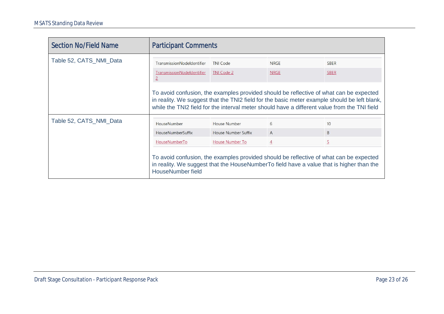| <b>Section No/Field Name</b> | <b>Participant Comments</b>                                                                                                                                                                                                                                                            |                            |                |                |  |  |
|------------------------------|----------------------------------------------------------------------------------------------------------------------------------------------------------------------------------------------------------------------------------------------------------------------------------------|----------------------------|----------------|----------------|--|--|
| Table 52, CATS_NMI_Data      | TransmissionNodeldentifier                                                                                                                                                                                                                                                             | <b>TNI Code</b>            | <b>NRGE</b>    | <b>SBER</b>    |  |  |
|                              | TransmissionNodeldentifier<br>$\overline{2}$                                                                                                                                                                                                                                           | TNI Code 2                 | <b>NRGE</b>    | <b>SBER</b>    |  |  |
|                              | To avoid confusion, the examples provided should be reflective of what can be expected<br>in reality. We suggest that the TNI2 field for the basic meter example should be left blank,<br>while the TNI2 field for the interval meter should have a different value from the TNI field |                            |                |                |  |  |
| Table 52, CATS_NMI_Data      | HouseNumber                                                                                                                                                                                                                                                                            | House Number               | 6              | 10             |  |  |
|                              | <b>HouseNumberSuffix</b>                                                                                                                                                                                                                                                               | <b>House Number Suffix</b> | $\overline{A}$ | B              |  |  |
|                              | HouseNumberTo                                                                                                                                                                                                                                                                          | <b>House Number To</b>     | $\overline{4}$ | $\overline{5}$ |  |  |
|                              | To avoid confusion, the examples provided should be reflective of what can be expected<br>in reality. We suggest that the HouseNumberTo field have a value that is higher than the<br><b>HouseNumber field</b>                                                                         |                            |                |                |  |  |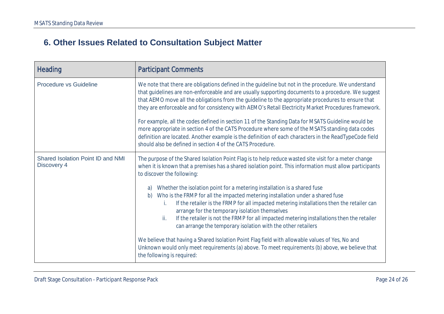### **6. Other Issues Related to Consultation Subject Matter**

<span id="page-23-0"></span>

| <b>Heading</b>                                   | <b>Participant Comments</b>                                                                                                                                                                                                                                                                                                                                                                                                                                                                                                                                                                                                                                                                                                                                                                                                                                                                                                                                                           |
|--------------------------------------------------|---------------------------------------------------------------------------------------------------------------------------------------------------------------------------------------------------------------------------------------------------------------------------------------------------------------------------------------------------------------------------------------------------------------------------------------------------------------------------------------------------------------------------------------------------------------------------------------------------------------------------------------------------------------------------------------------------------------------------------------------------------------------------------------------------------------------------------------------------------------------------------------------------------------------------------------------------------------------------------------|
| <b>Procedure vs Guideline</b>                    | We note that there are obligations defined in the guideline but not in the procedure. We understand<br>that guidelines are non-enforceable and are usually supporting documents to a procedure. We suggest<br>that AEMO move all the obligations from the guideline to the appropriate procedures to ensure that<br>they are enforceable and for consistency with AEMO's Retail Electricity Market Procedures framework.<br>For example, all the codes defined in section 11 of the Standing Data for MSATS Guideline would be<br>more appropriate in section 4 of the CATS Procedure where some of the MSATS standing data codes<br>definition are located. Another example is the definition of each characters in the ReadTypeCode field<br>should also be defined in section 4 of the CATS Procedure.                                                                                                                                                                             |
| Shared Isolation Point ID and NMI<br>Discovery 4 | The purpose of the Shared Isolation Point Flag is to help reduce wasted site visit for a meter change<br>when it is known that a premises has a shared isolation point. This information must allow participants<br>to discover the following:<br>Whether the isolation point for a metering installation is a shared fuse<br>a)<br>Who is the FRMP for all the impacted metering installation under a shared fuse<br>b)<br>If the retailer is the FRMP for all impacted metering installations then the retailer can<br>İ.<br>arrange for the temporary isolation themselves<br>If the retailer is not the FRMP for all impacted metering installations then the retailer<br>ii.<br>can arrange the temporary isolation with the other retailers<br>We believe that having a Shared Isolation Point Flag field with allowable values of Yes, No and<br>Unknown would only meet requirements (a) above. To meet requirements (b) above, we believe that<br>the following is required: |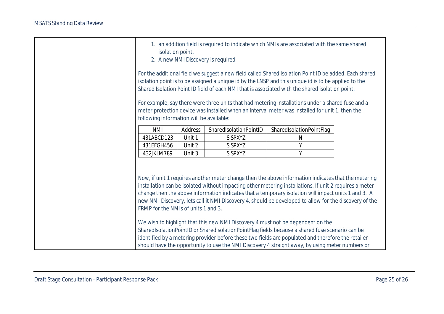| 1. an addition field is required to indicate which NMIs are associated with the same shared<br>isolation point.<br>2. A new NMI Discovery is required                                                                                                                                                             |         |                        |                                                                                                                                                                                                                                                                                                                                                                                                                                                                                                                    |  |  |
|-------------------------------------------------------------------------------------------------------------------------------------------------------------------------------------------------------------------------------------------------------------------------------------------------------------------|---------|------------------------|--------------------------------------------------------------------------------------------------------------------------------------------------------------------------------------------------------------------------------------------------------------------------------------------------------------------------------------------------------------------------------------------------------------------------------------------------------------------------------------------------------------------|--|--|
| For the additional field we suggest a new field called Shared Isolation Point ID be added. Each shared<br>isolation point is to be assigned a unique id by the LNSP and this unique id is to be applied to the<br>Shared Isolation Point ID field of each NMI that is associated with the shared isolation point. |         |                        |                                                                                                                                                                                                                                                                                                                                                                                                                                                                                                                    |  |  |
| For example, say there were three units that had metering installations under a shared fuse and a<br>meter protection device was installed when an interval meter was installed for unit 1, then the<br>following information will be available:                                                                  |         |                        |                                                                                                                                                                                                                                                                                                                                                                                                                                                                                                                    |  |  |
| <b>NMI</b>                                                                                                                                                                                                                                                                                                        | Address | SharedIsolationPointID | SharedIsolationPointFlag                                                                                                                                                                                                                                                                                                                                                                                                                                                                                           |  |  |
| 431ABCD123                                                                                                                                                                                                                                                                                                        | Unit 1  | <b>SISPXYZ</b>         | N                                                                                                                                                                                                                                                                                                                                                                                                                                                                                                                  |  |  |
| 431EFGH456                                                                                                                                                                                                                                                                                                        | Unit 2  | <b>SISPXYZ</b>         | Υ                                                                                                                                                                                                                                                                                                                                                                                                                                                                                                                  |  |  |
| 432JKLM789                                                                                                                                                                                                                                                                                                        | Unit 3  | <b>SISPXYZ</b>         | Υ                                                                                                                                                                                                                                                                                                                                                                                                                                                                                                                  |  |  |
| FRMP for the NMIs of units 1 and 3.                                                                                                                                                                                                                                                                               |         |                        | Now, if unit 1 requires another meter change then the above information indicates that the metering<br>installation can be isolated without impacting other metering installations. If unit 2 requires a meter<br>change then the above information indicates that a temporary isolation will impact units 1 and 3. A<br>new NMI Discovery, lets call it NMI Discovery 4, should be developed to allow for the discovery of the<br>We wish to highlight that this new NMI Discovery 4 must not be dependent on the |  |  |
|                                                                                                                                                                                                                                                                                                                   |         |                        | SharedIsolationPointID or SharedIsolationPointFlag fields because a shared fuse scenario can be                                                                                                                                                                                                                                                                                                                                                                                                                    |  |  |
|                                                                                                                                                                                                                                                                                                                   |         |                        | identified by a metering provider before these two fields are populated and therefore the retailer<br>should have the opportunity to use the NMI Discovery 4 straight away, by using meter numbers or                                                                                                                                                                                                                                                                                                              |  |  |